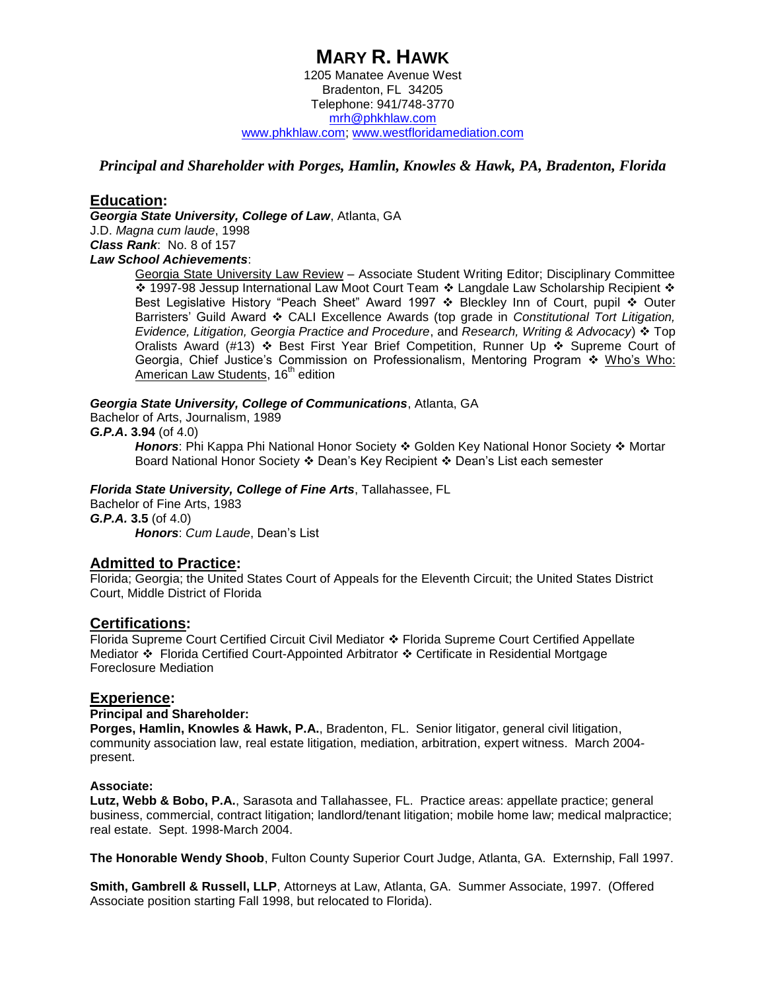### **MARY R. HAWK** 1205 Manatee Avenue West Bradenton, FL 34205 Telephone: 941/748-3770 [mrh@phkhlaw.com](mailto:mrh@phkhlaw.com) [www.phkhlaw.com;](http://www.phkhlaw.com/) [www.westfloridamediation.com](http://www.westfloridamediation.com/)

### *Principal and Shareholder with Porges, Hamlin, Knowles & Hawk, PA, Bradenton, Florida*

### **Education:**

*Georgia State University, College of Law*, Atlanta, GA J.D. *Magna cum laude*, 1998 *Class Rank*: No. 8 of 157 *Law School Achievements*:

Georgia State University Law Review – Associate Student Writing Editor; Disciplinary Committee ❖ 1997-98 Jessup International Law Moot Court Team ❖ Langdale Law Scholarship Recipient ❖ Best Legislative History "Peach Sheet" Award 1997  $\cdot \cdot$  Bleckley Inn of Court, pupil  $\cdot \cdot$  Outer Barristers' Guild Award CALI Excellence Awards (top grade in *Constitutional Tort Litigation, Evidence, Litigation, Georgia Practice and Procedure*, and *Research, Writing & Advocacy*) Top Oralists Award (#13)  $\div$  Best First Year Brief Competition, Runner Up  $\div$  Supreme Court of Georgia, Chief Justice's Commission on Professionalism, Mentoring Program  $\cdot$  Who's Who: American Law Students, 16<sup>th</sup> edition

#### *Georgia State University, College of Communications*, Atlanta, GA

Bachelor of Arts, Journalism, 1989

#### *G.P.A***. 3.94** (of 4.0)

Honors: Phi Kappa Phi National Honor Society  $\triangleleft$  Golden Key National Honor Society  $\triangleleft$  Mortar Board National Honor Society  $\div$  Dean's Key Recipient  $\div$  Dean's List each semester

#### *Florida State University, College of Fine Arts*, Tallahassee, FL

Bachelor of Fine Arts, 1983 *G.P.A.* **3.5** (of 4.0) *Honors*: *Cum Laude*, Dean's List

# **Admitted to Practice:**

Florida; Georgia; the United States Court of Appeals for the Eleventh Circuit; the United States District Court, Middle District of Florida

#### **Certifications:**

Florida Supreme Court Certified Circuit Civil Mediator Florida Supreme Court Certified Appellate Mediator ❖ Florida Certified Court-Appointed Arbitrator ❖ Certificate in Residential Mortgage Foreclosure Mediation

#### **Experience:**

#### **Principal and Shareholder:**

**Porges, Hamlin, Knowles & Hawk, P.A.**, Bradenton, FL. Senior litigator, general civil litigation, community association law, real estate litigation, mediation, arbitration, expert witness. March 2004 present.

#### **Associate:**

**Lutz, Webb & Bobo, P.A.**, Sarasota and Tallahassee, FL. Practice areas: appellate practice; general business, commercial, contract litigation; landlord/tenant litigation; mobile home law; medical malpractice; real estate. Sept. 1998-March 2004.

**The Honorable Wendy Shoob**, Fulton County Superior Court Judge, Atlanta, GA. Externship, Fall 1997.

**Smith, Gambrell & Russell, LLP**, Attorneys at Law, Atlanta, GA. Summer Associate, 1997. (Offered Associate position starting Fall 1998, but relocated to Florida).